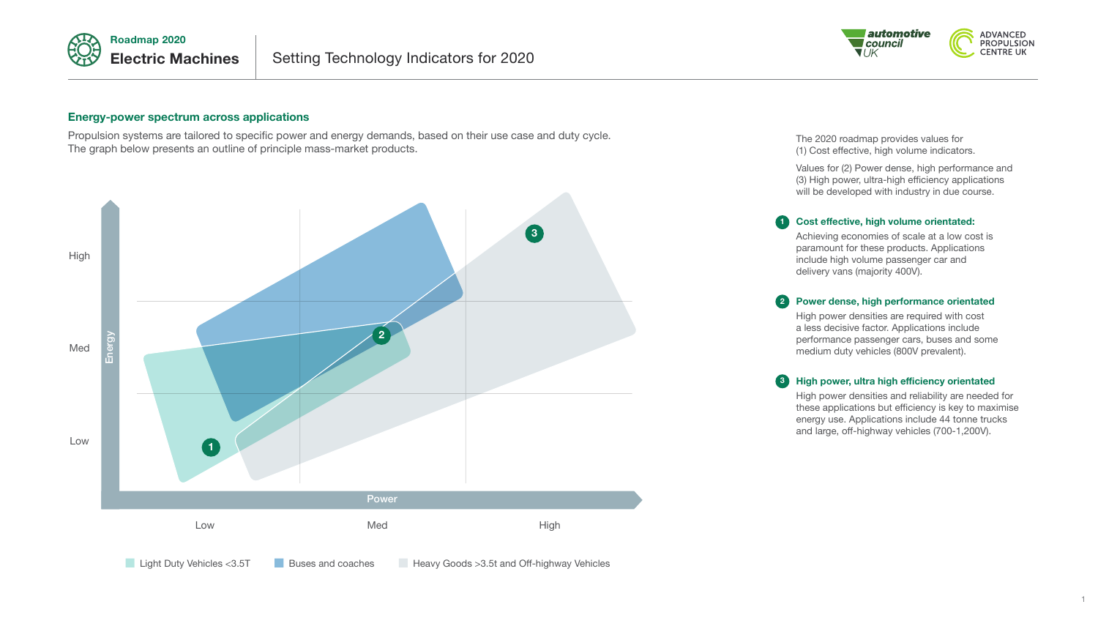



**1**



# **Energy-power spectrum across applications**

Propulsion systems are tailored to specific power and energy demands, based on their use case and duty cycle. The graph below presents an outline of principle mass-market products.



The 2020 roadmap provides values for (1) Cost effective, high volume indicators.

Values for (2) Power dense, high performance and (3) High power, ultra-high efficiency applications will be developed with industry in due course.

## **Cost effective, high volume orientated:**

Achieving economies of scale at a low cost is paramount for these products. Applications include high volume passenger car and delivery vans (majority 400V).

#### **Power dense, high performance orientated 2**

High power densities are required with cost a less decisive factor. Applications include performance passenger cars, buses and some medium duty vehicles (800V prevalent).

#### **High power, ultra high efficiency orientated 3**

High power densities and reliability are needed for these applications but efficiency is key to maximise energy use. Applications include 44 tonne trucks and large, off-highway vehicles (700-1,200V).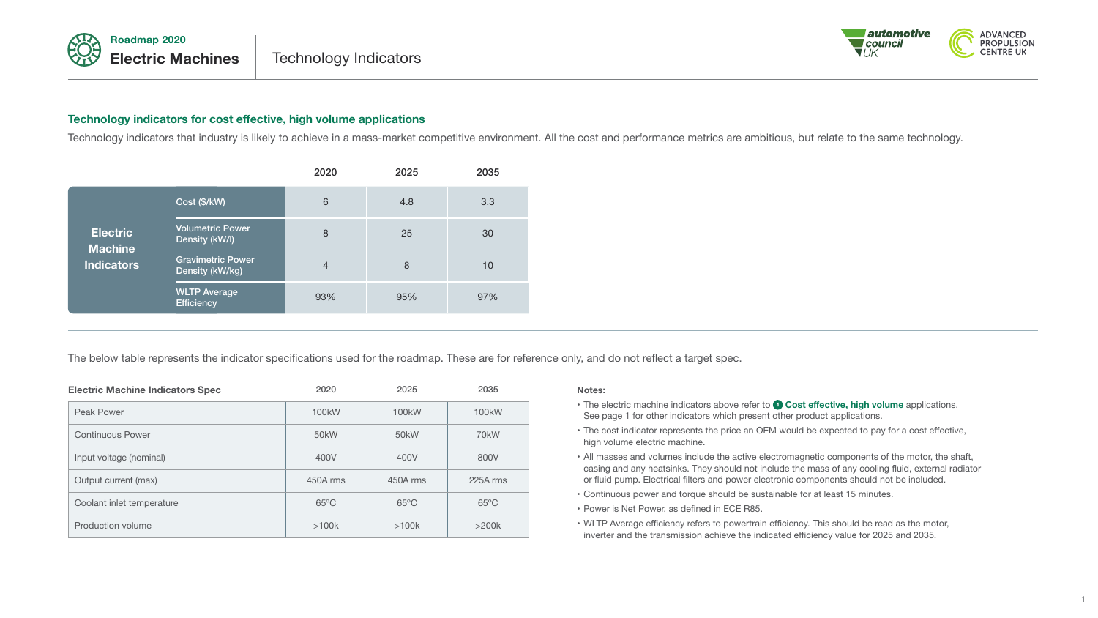



# **Technology indicators for cost effective, high volume applications**

Technology indicators that industry is likely to achieve in a mass-market competitive environment. All the cost and performance metrics are ambitious, but relate to the same technology.

|                                                        |                                             | 2020 | 2025 | 2035 |
|--------------------------------------------------------|---------------------------------------------|------|------|------|
| <b>Electric</b><br><b>Machine</b><br><b>Indicators</b> | Cost (\$/kW)                                | 6    | 4.8  | 3.3  |
|                                                        | <b>Volumetric Power</b><br>Density (kW/l)   | 8    | 25   | 30   |
|                                                        | <b>Gravimetric Power</b><br>Density (kW/kg) | 4    | 8    | 10   |
|                                                        | <b>WLTP Average</b><br><b>Efficiency</b>    | 93%  | 95%  | 97%  |

The below table represents the indicator specifications used for the roadmap. These are for reference only, and do not reflect a target spec.

| <b>Electric Machine Indicators Spec</b> | 2020               | 2025               | 2035               |
|-----------------------------------------|--------------------|--------------------|--------------------|
| Peak Power                              | 100 <sub>k</sub> W | 100 <sub>k</sub> W | 100 <sub>k</sub> W |
| <b>Continuous Power</b>                 | 50 <sub>k</sub> W  | 50 <sub>k</sub> W  | 70 <sub>k</sub> W  |
| Input voltage (nominal)                 | 400V               | 400V               | 800V               |
| Output current (max)                    | 450A rms           | 450A rms           | 225A rms           |
| Coolant inlet temperature               | $65^{\circ}$ C     | $65^{\circ}$ C     | $65^{\circ}$ C     |
| Production volume                       | >100k              | >100k              | >200k              |

### **Notes:**

- The electric machine indicators above refer to **O Cost effective, high volume** applications. See page 1 for other indicators which present other product applications.
- The cost indicator represents the price an OEM would be expected to pay for a cost effective, high volume electric machine.
- All masses and volumes include the active electromagnetic components of the motor, the shaft, casing and any heatsinks. They should not include the mass of any cooling fluid, external radiator or fluid pump. Electrical filters and power electronic components should not be included.
- Continuous power and torque should be sustainable for at least 15 minutes.
- Power is Net Power, as defined in ECE R85.
- WLTP Average efficiency refers to powertrain efficiency. This should be read as the motor, inverter and the transmission achieve the indicated efficiency value for 2025 and 2035.